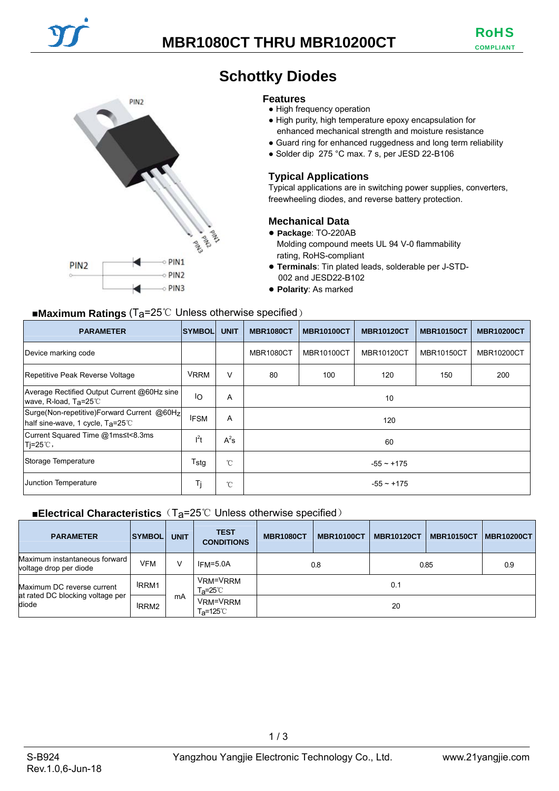## **MBR1080CT THRU MBR10200CT**



## **Schottky Diodes**

#### **Features**

- High frequency operation
- High purity, high temperature epoxy encapsulation for enhanced mechanical strength and moisture resistance
- Guard ring for enhanced ruggedness and long term reliability
- Solder dip 275 °C max. 7 s, per JESD 22-B106

#### **Typical Applications**

Typical applications are in switching power supplies, converters, freewheeling diodes, and reverse battery protection.

#### **Mechanical Data**

- **Package**: TO-220AB Molding compound meets UL 94 V-0 flammability rating, RoHS-compliant
- **Terminals**: Tin plated leads, solderable per J-STD-002 and JESD22-B102
- **Polarity**: As marked

#### ■**Maximum Ratings** (Ta=25℃ Unless otherwise specified)

| <b>PARAMETER</b>                                                               | <b>SYMBOL</b> | <b>UNIT</b>    | <b>MBR1080CT</b> | <b>MBR10100CT</b> | <b>MBR10120CT</b> | <b>MBR10150CT</b> | <b>MBR10200CT</b> |
|--------------------------------------------------------------------------------|---------------|----------------|------------------|-------------------|-------------------|-------------------|-------------------|
| Device marking code                                                            |               |                | <b>MBR1080CT</b> | <b>MBR10100CT</b> | <b>MBR10120CT</b> | <b>MBR10150CT</b> | <b>MBR10200CT</b> |
| Repetitive Peak Reverse Voltage                                                | <b>VRRM</b>   | V              | 80               | 100               | 120               | 150               | 200               |
| Average Rectified Output Current @60Hz sine<br>wave, R-load, $Ta=25^{\circ}C$  | ΙO            | Α              | 10               |                   |                   |                   |                   |
| Surge(Non-repetitive)Forward Current @60Hz<br>half sine-wave, 1 cycle, Ta=25°C | <b>IFSM</b>   | $\overline{A}$ | 120              |                   |                   |                   |                   |
| Current Squared Time @1ms≤t<8.3ms<br>$Ti=25^{\circ}$ C,                        | $l^2t$        | $A^2s$         | 60               |                   |                   |                   |                   |
| Storage Temperature                                                            | $T_{\rm stg}$ | $^{\circ}$ C   | $-55 - +175$     |                   |                   |                   |                   |
| Junction Temperature                                                           | Τj            | $^{\circ}$ C   | $-55 \sim +175$  |                   |                   |                   |                   |

#### ■**Electrical Characteristics** (T<sub>a</sub>=25℃ Unless otherwise specified)

| <b>PARAMETER</b>                                                        | <b>SYMBOL</b>     | <b>UNIT</b> | <b>TEST</b><br><b>CONDITIONS</b> | <b>MBR1080CT</b> | <b>MBR10100CT</b> | <b>MBR10120CT</b> | <b>MBR10150CT</b> | MBR10200CT |
|-------------------------------------------------------------------------|-------------------|-------------|----------------------------------|------------------|-------------------|-------------------|-------------------|------------|
| Maximum instantaneous forward<br>voltage drop per diode                 | VFM               | v           | $IFM=5.0A$                       | 0.8              |                   | 0.85              |                   | 0.9        |
| Maximum DC reverse current<br>at rated DC blocking voltage per<br>diode | <b>IRRM1</b>      |             | VRM=VRRM<br>T <sub>a</sub> =25℃  |                  |                   | 0.1               |                   |            |
|                                                                         | IRRM <sub>2</sub> | mA          | VRM=VRRM<br>Ta=125℃              | 20               |                   |                   |                   |            |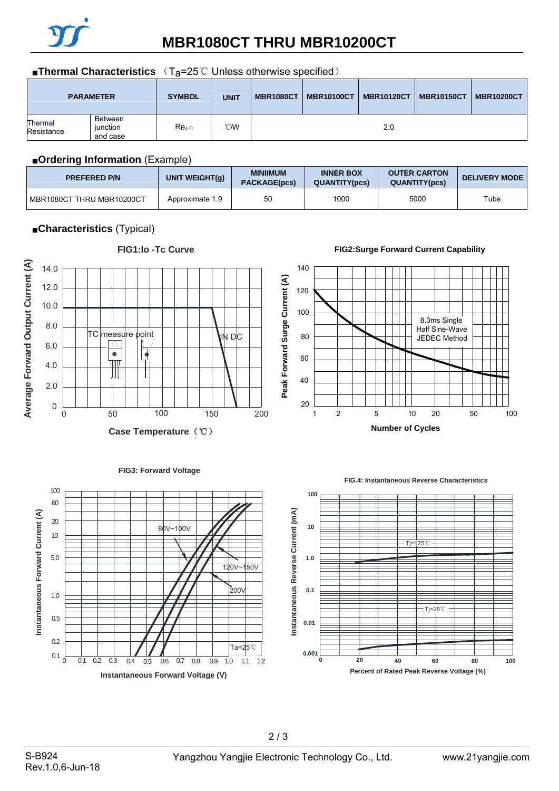

# **MBR1080CT THRU MBR10200CT**

#### ■**Thermal Characteristics** (T<sub>a</sub>=25℃ Unless otherwise specified)

|                       | <b>PARAMETER</b>                | <b>SYMBOL</b> | <b>UNIT</b> | <b>MBR1080CT</b> | <b>MBR10100CT</b> | <b>MBR10120CT</b> | <b>MBR10150CT</b> | <b>MBR10200CT</b> |
|-----------------------|---------------------------------|---------------|-------------|------------------|-------------------|-------------------|-------------------|-------------------|
| Thermal<br>Resistance | Between<br>iunction<br>and case | $R\theta$ J-C | °CM         |                  |                   | 2.0               |                   |                   |

#### ■**Ordering Information** (Example)

| <b>PREFERED P/N</b>         | UNIT WEIGHT(g)  | <b>MINIIMUM</b><br><b>PACKAGE(pcs)</b> | <b>INNER BOX</b><br><b>QUANTITY(pcs)</b> | <b>OUTER CARTON</b><br><b>QUANTITY(pcs)</b> | <b>DELIVERY MODE</b> |
|-----------------------------|-----------------|----------------------------------------|------------------------------------------|---------------------------------------------|----------------------|
| I MBR1080CT THRU MBR10200CT | Approximate 1.9 | 50                                     | 1000                                     | 5000                                        | Tube                 |

## ■**Characteristics** (Typical)



## **FIG1:Io -Tc Curve**

#### **FIG2:Surge Forward Current Capability**





# Rev.1.0,6-Jun-18

0.2

0.5

1.0

10 20

5.0

**Instantaneous Forward Current (A)**

Instantaneous Forward Current (A)

60

 $0.1 \t\t\t 0.2 \t\t 0.3 \t\t 0.4 \t\t 0.5 \t\t 0.6 \t\t 0.7$ 

0 0.1 0.2 0.3 0.4 0.5 0.6 0.7 0.8 0.9 1.0

**Instantaneous Forward Voltage (V)**

80V~100V

2 / 3

Ta=25℃

1.1 1.2

 $\dot{2}00$ 

 $0v$ ~150 $v$